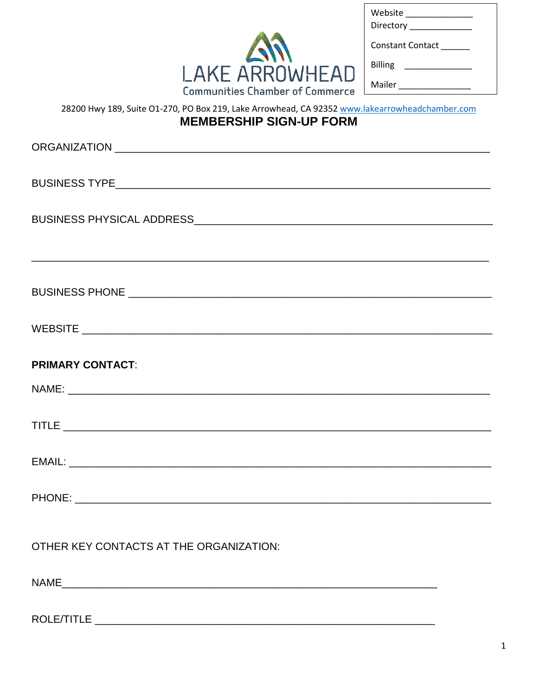| Website<br>Directory ____ |
|---------------------------|
| Constant Contact          |
| <b>Billing</b>            |
| Mailer                    |

## **LAKE ARROWHEAD** Communities Chamber of Commerce Mailer

## 28200 Hwy 189, Suite O1-270, PO Box 219, Lake Arrowhead, CA 92352 www.lakearrowheadchamber.com **MEMBERSHIP SIGN-UP FORM** ORGANIZATION **Example 2018**

## **PRIMARY CONTACT:**

## OTHER KEY CONTACTS AT THE ORGANIZATION:

 $NAME$ 

ROLE/TITLE **AND IN THE SECOND CONTRACT OF A SECOND CONTRACT OF A SECOND CONTRACT OF A SECOND CONTRACT OF A SECOND CONTRACT OF A SECOND CONTRACT OF A SECOND CONTRACT OF A SECOND CONTRACT OF A SECOND CONTRACT OF A SECOND CON**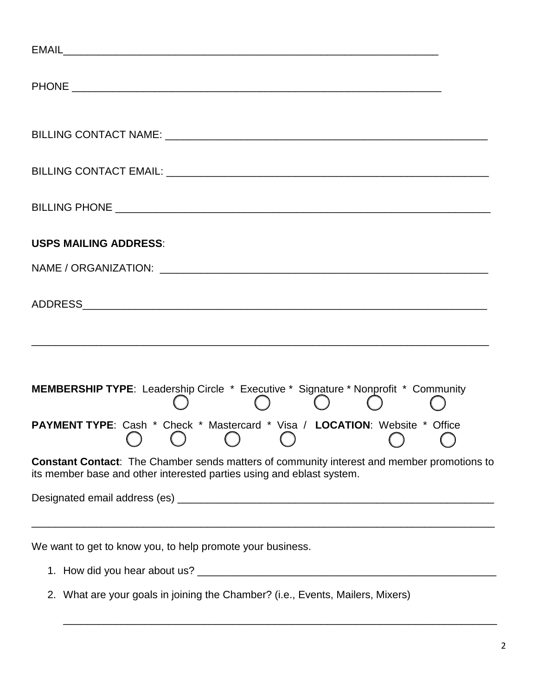| <b>USPS MAILING ADDRESS:</b>                                                                                                                                                              |
|-------------------------------------------------------------------------------------------------------------------------------------------------------------------------------------------|
|                                                                                                                                                                                           |
|                                                                                                                                                                                           |
| <b>MEMBERSHIP TYPE:</b> Leadership Circle * Executive * Signature * Nonprofit * Community<br>$\left(\begin{array}{c} \end{array}\right)$<br>$\left( \begin{array}{c} \end{array} \right)$ |
| PAYMENT TYPE: Cash * Check * Mastercard * Visa / LOCATION: Website * Office                                                                                                               |
| <b>Constant Contact:</b> The Chamber sends matters of community interest and member promotions to<br>its member base and other interested parties using and eblast system.                |
|                                                                                                                                                                                           |
| We want to get to know you, to help promote your business.                                                                                                                                |

2. What are your goals in joining the Chamber? (i.e., Events, Mailers, Mixers)

\_\_\_\_\_\_\_\_\_\_\_\_\_\_\_\_\_\_\_\_\_\_\_\_\_\_\_\_\_\_\_\_\_\_\_\_\_\_\_\_\_\_\_\_\_\_\_\_\_\_\_\_\_\_\_\_\_\_\_\_\_\_\_\_\_\_\_\_\_\_\_\_\_\_